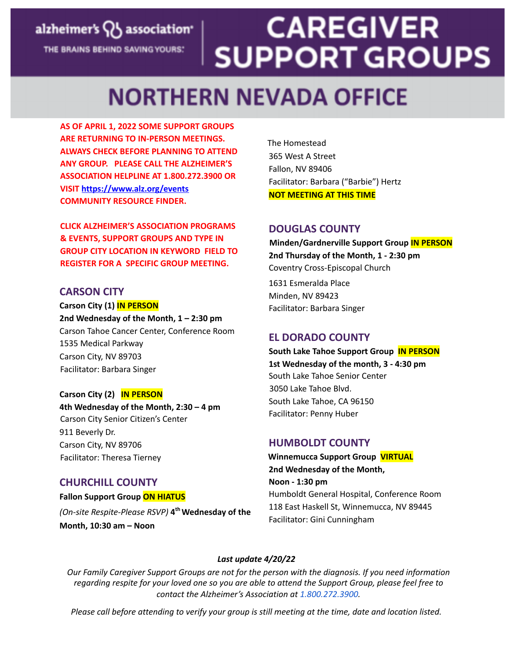#### **CAREGIVER** alzheimer's QJ association' **SUPPORT GROUPS** THE BRAINS BEHIND SAVING YOURS.

### **NORTHERN NEVADA OFFICE**

**AS OF APRIL 1, 2022 SOME SUPPORT GROUPS ARE RETURNING TO IN-PERSON MEETINGS. ALWAYS CHECK BEFORE PLANNING TO ATTEND ANY GROUP. PLEASE CALL THE ALZHEIMER'S ASSOCIATION HELPLINE AT 1.800.272.3900 OR VISIT https://www.alz.org/events COMMUNITY RESOURCE FINDER.**

**CLICK ALZHEIMER'S ASSOCIATION PROGRAMS & EVENTS, SUPPORT GROUPS AND TYPE IN GROUP CITY LOCATION IN KEYWORD FIELD TO REGISTER FOR A SPECIFIC GROUP MEETING.**

#### **CARSON CITY**

**Carson City (1) IN PERSON 2nd Wednesday of the Month, 1 – 2:30 pm** Carson Tahoe Cancer Center, Conference Room 1535 Medical Parkway Carson City, NV 89703 Facilitator: Barbara Singer

#### **Carson City (2) IN PERSON**

**4th Wednesday of the Month, 2:30 – 4 pm** Carson City Senior Citizen's Center 911 Beverly Dr. Carson City, NV 89706 Facilitator: Theresa Tierney

#### **CHURCHILL COUNTY**

**Fallon Support Group ON HIATUS** *(On-site Respite-Please RSVP)* **4 thWednesday of the Month, 10:30 am – Noon**

The Homestead 365 West A Street Fallon, NV 89406 Facilitator: Barbara ("Barbie") Hertz **NOT MEETING AT THIS TIME**

#### **DOUGLAS COUNTY**

**Minden/Gardnerville Support Group IN PERSON 2nd Thursday of the Month, 1 - 2:30 pm** Coventry Cross-Episcopal Church

1631 Esmeralda Place Minden, NV 89423 Facilitator: Barbara Singer

#### **EL DORADO COUNTY**

**South Lake Tahoe Support Group IN PERSON 1st Wednesday of the month, 3 - 4:30 pm** South Lake Tahoe Senior Center 3050 Lake Tahoe Blvd. South Lake Tahoe, CA 96150 Facilitator: Penny Huber

#### **HUMBOLDT COUNTY**

**Winnemucca Support Group VIRTUAL 2nd Wednesday of the Month, Noon - 1:30 pm** Humboldt General Hospital, Conference Room 118 East Haskell St, Winnemucca, NV 89445 Facilitator: Gini Cunningham

#### *Last update 4/20/22*

*Our Family Caregiver Support Groups are not for the person with the diagnosis. If you need information* regarding respite for your loved one so you are able to attend the Support Group, please feel free to *contact the Alzheimer's Association at 1.800.272.3900.*

Please call before attending to verify your group is still meeting at the time, date and location listed.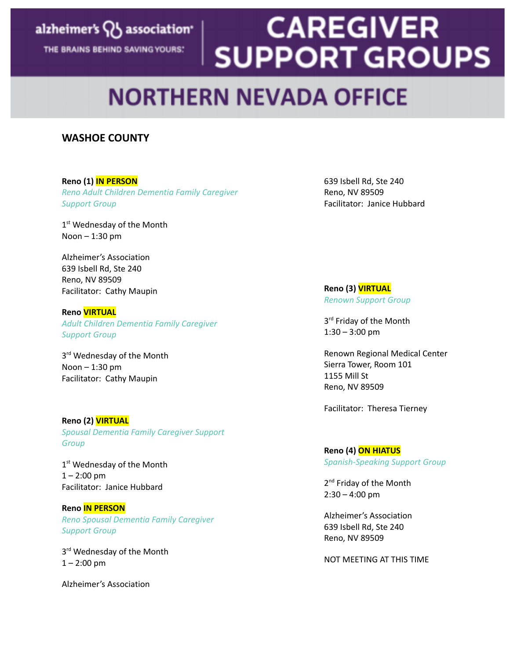### alzheimer's QJ association<sup>®</sup>

THE BRAINS BEHIND SAVING YOURS:

# **CAREGIVER SUPPORT GROUPS**

## **NORTHERN NEVADA OFFICE**

#### **WASHOE COUNTY**

#### **Reno (1) IN PERSON**

*Reno Adult Children Dementia Family Caregiver Support Group*

1<sup>st</sup> Wednesday of the Month Noon  $-1:30$  pm

Alzheimer's Association 639 Isbell Rd, Ste 240 Reno, NV 89509 Facilitator: Cathy Maupin

#### **Reno VIRTUAL**

*Adult Children Dementia Family Caregiver Support Group*

3<sup>rd</sup> Wednesday of the Month Noon – 1:30 pm Facilitator: Cathy Maupin

#### **Reno (2) VIRTUAL** *Spousal Dementia Family Caregiver Support Group*

1<sup>st</sup> Wednesday of the Month  $1 - 2:00$  pm Facilitator: Janice Hubbard

#### **Reno IN PERSON**

*Reno Spousal Dementia Family Caregiver Support Group*

3<sup>rd</sup> Wednesday of the Month  $1 - 2:00$  pm

Alzheimer's Association

639 Isbell Rd, Ste 240 Reno, NV 89509 Facilitator: Janice Hubbard

**Reno (3) VIRTUAL** *Renown Support Group*

3<sup>rd</sup> Friday of the Month 1:30 – 3:00 pm

Renown Regional Medical Center Sierra Tower, Room 101 1155 Mill St Reno, NV 89509

Facilitator: Theresa Tierney

### **Reno (4) ON HIATUS**

*Spanish-Speaking Support Group*

2<sup>nd</sup> Friday of the Month  $2:30 - 4:00$  pm

Alzheimer's Association 639 Isbell Rd, Ste 240 Reno, NV 89509

NOT MEETING AT THIS TIME